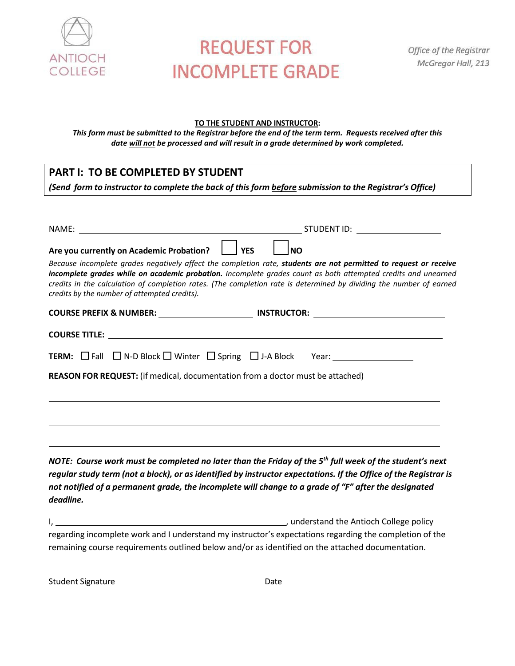

## **REQUEST FOR INCOMPLETE GRADE**

## **TO THE STUDENT AND INSTRUCTOR:**

This form must be submitted to the Registrar before the end of the term term. Requests received after this *date will not be processed and will result in a grade determined by work completed.*

## **PART I: TO BE COMPLETED BY STUDENT**

*(Send form to instructor to complete the back of thisform before submission to the Registrar's Office)*

| STUDENT ID: ___________________                                                                                                                                                                                                                                                                                                                                                                                                                                  |                                                                   |  |  |
|------------------------------------------------------------------------------------------------------------------------------------------------------------------------------------------------------------------------------------------------------------------------------------------------------------------------------------------------------------------------------------------------------------------------------------------------------------------|-------------------------------------------------------------------|--|--|
| Are you currently on Academic Probation?<br>$ $ YES<br>Because incomplete grades negatively affect the completion rate, students are not permitted to request or receive<br>incomplete grades while on academic probation. Incomplete grades count as both attempted credits and unearned<br>credits in the calculation of completion rates. (The completion rate is determined by dividing the number of earned<br>credits by the number of attempted credits). | l NO                                                              |  |  |
| COURSE PREFIX & NUMBER: ________________________________ INSTRUCTOR: _______________________________                                                                                                                                                                                                                                                                                                                                                             |                                                                   |  |  |
|                                                                                                                                                                                                                                                                                                                                                                                                                                                                  |                                                                   |  |  |
| <b>TERM:</b> $\Box$ Fall $\Box$ N-D Block $\Box$ Winter $\Box$ Spring $\Box$ J-A Block Year: ______________________<br>REASON FOR REQUEST: (if medical, documentation from a doctor must be attached)                                                                                                                                                                                                                                                            |                                                                   |  |  |
| NOTE: Course work must be completed no later than the Friday of the $5th$ full week of the student's next<br>regular study term (not a block), or as identified by instructor expectations. If the Office of the Registrar is<br>not notified of a permanent grade, the incomplete will change to a grade of "F" after the designated<br>deadline.                                                                                                               | المتمثل والمستوح والمتارك والمستلفين فالمستراء والمستواء والمستند |  |  |

I, , understand the Antioch College policy regarding incomplete work and I understand my instructor's expectations regarding the completion of the remaining course requirements outlined below and/or as identified on the attached documentation.

Student Signature Date